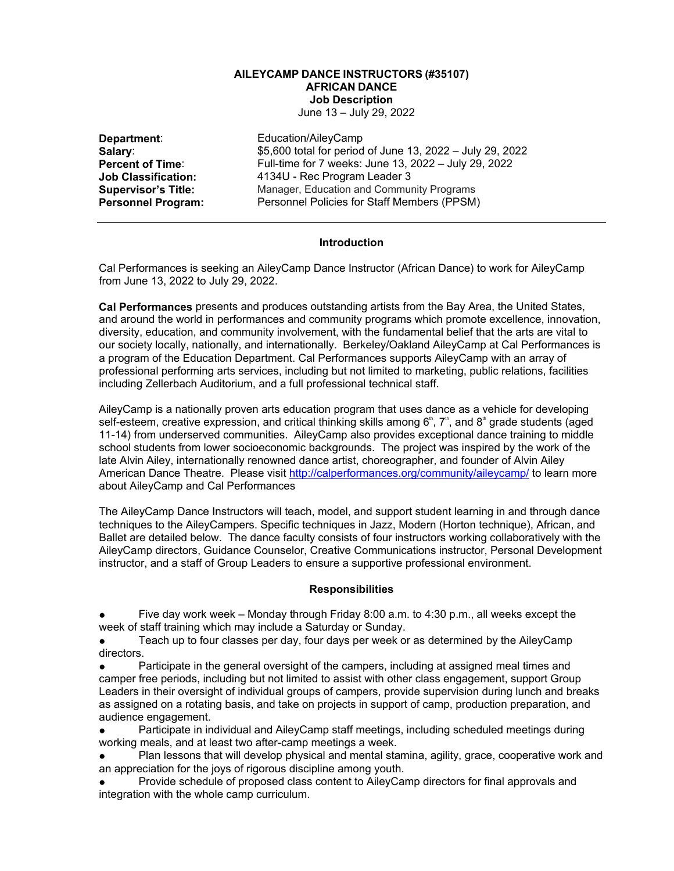### **AILEYCAMP DANCE INSTRUCTORS ([#35107\)](javascript:submitAction_win0(document.win0,) AFRICAN DANCE Job Description**

June 13 – July 29, 2022

**Department:**<br> **Salary:** Education/AileyCamp<br>
\$5,600 total for period **Salary:** \$5,600 total for period of June 13, 2022 – July 29, 2022<br> **Percent of Time**: **Full-time for 7 weeks: June 13, 2022 – July 29, 2022 Percent of Time:** Full-time for 7 weeks: June 13, 2022 – July 29, 2022<br>**Job Classification:** 4134U - Rec Program Leader 3 **Job Classification:** 4134U - Rec Program Leader 3 **Supervisor's Title:** Manager, Education and Community Programs<br> **Personnel Program:** Personnel Policies for Staff Members (PPSM) Personnel Policies for Staff Members (PPSM)

### **Introduction**

Cal Performances is seeking an AileyCamp Dance Instructor (African Dance) to work for AileyCamp from June 13, 2022 to July 29, 2022.

**Cal Performances** presents and produces outstanding artists from the Bay Area, the United States, and around the world in performances and community programs which promote excellence, innovation, diversity, education, and community involvement, with the fundamental belief that the arts are vital to our society locally, nationally, and internationally. Berkeley/Oakland AileyCamp at Cal Performances is a program of the Education Department. Cal Performances supports AileyCamp with an array of professional performing arts services, including but not limited to marketing, public relations, facilities including Zellerbach Auditorium, and a full professional technical staff.

AileyCamp is a nationally proven arts education program that uses dance as a vehicle for developing self-esteem, creative expression, and critical thinking skills among  $6<sup>th</sup>$ ,  $7<sup>th</sup>$ , and  $8<sup>th</sup>$  grade students (aged 11-14) from underserved communities. AileyCamp also provides exceptional dance training to middle school students from lower socioeconomic backgrounds. The project was inspired by the work of the late Alvin Ailey, internationally renowned dance artist, choreographer, and founder of Alvin Ailey American Dance Theatre. Please visit<http://calperformances.org/community/aileycamp/> to learn more about AileyCamp and Cal Performances

The AileyCamp Dance Instructors will teach, model, and support student learning in and through dance techniques to the AileyCampers. Specific techniques in Jazz, Modern (Horton technique), African, and Ballet are detailed below. The dance faculty consists of four instructors working collaboratively with the AileyCamp directors, Guidance Counselor, Creative Communications instructor, Personal Development instructor, and a staff of Group Leaders to ensure a supportive professional environment.

#### **Responsibilities**

Five day work week – Monday through Friday 8:00 a.m. to 4:30 p.m., all weeks except the week of staff training which may include a Saturday or Sunday.

• Teach up to four classes per day, four days per week or as determined by the AileyCamp directors.

Participate in the general oversight of the campers, including at assigned meal times and camper free periods, including but not limited to assist with other class engagement, support Group Leaders in their oversight of individual groups of campers, provide supervision during lunch and breaks as assigned on a rotating basis, and take on projects in support of camp, production preparation, and audience engagement.

Participate in individual and AileyCamp staff meetings, including scheduled meetings during working meals, and at least two after-camp meetings a week.

Plan lessons that will develop physical and mental stamina, agility, grace, cooperative work and an appreciation for the joys of rigorous discipline among youth.

Provide schedule of proposed class content to AileyCamp directors for final approvals and integration with the whole camp curriculum.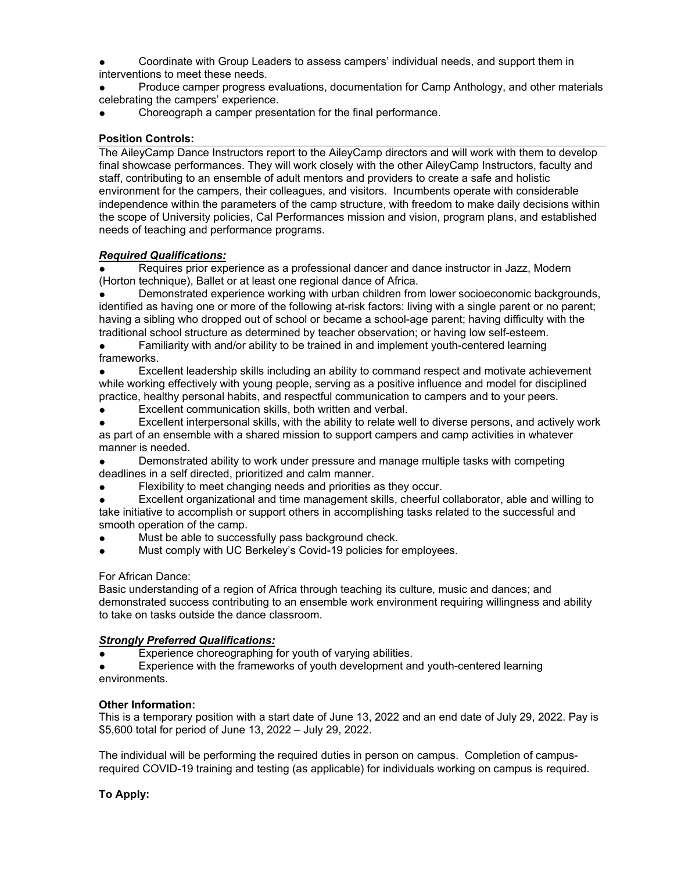Coordinate with Group Leaders to assess campers' individual needs, and support them in interventions to meet these needs.

Produce camper progress evaluations, documentation for Camp Anthology, and other materials celebrating the campers' experience.

Choreograph a camper presentation for the final performance.

# **Position Controls:**

The AileyCamp Dance Instructors report to the AileyCamp directors and will work with them to develop final showcase performances. They will work closely with the other AileyCamp Instructors, faculty and staff, contributing to an ensemble of adult mentors and providers to create a safe and holistic environment for the campers, their colleagues, and visitors. Incumbents operate with considerable independence within the parameters of the camp structure, with freedom to make daily decisions within the scope of University policies, Cal Performances mission and vision, program plans, and established needs of teaching and performance programs.

### *Required Qualifications:*

Requires prior experience as a professional dancer and dance instructor in Jazz, Modern (Horton technique), Ballet or at least one regional dance of Africa.

Demonstrated experience working with urban children from lower socioeconomic backgrounds, identified as having one or more of the following at-risk factors: living with a single parent or no parent; having a sibling who dropped out of school or became a school-age parent; having difficulty with the traditional school structure as determined by teacher observation; or having low self-esteem.

● Familiarity with and/or ability to be trained in and implement youth-centered learning frameworks.

Excellent leadership skills including an ability to command respect and motivate achievement while working effectively with young people, serving as a positive influence and model for disciplined practice, healthy personal habits, and respectful communication to campers and to your peers.

Excellent communication skills, both written and verbal.

● Excellent interpersonal skills, with the ability to relate well to diverse persons, and actively work as part of an ensemble with a shared mission to support campers and camp activities in whatever manner is needed.

Demonstrated ability to work under pressure and manage multiple tasks with competing deadlines in a self directed, prioritized and calm manner.

Flexibility to meet changing needs and priorities as they occur.

Excellent organizational and time management skills, cheerful collaborator, able and willing to take initiative to accomplish or support others in accomplishing tasks related to the successful and smooth operation of the camp.

- Must be able to successfully pass background check.
- Must comply with UC Berkeley's Covid-19 policies for employees.

# For African Dance:

Basic understanding of a region of Africa through teaching its culture, music and dances; and demonstrated success contributing to an ensemble work environment requiring willingness and ability to take on tasks outside the dance classroom.

# *Strongly Preferred Qualifications:*

Experience choreographing for youth of varying abilities.

Experience with the frameworks of youth development and youth-centered learning environments.

#### **Other Information:**

This is a temporary position with a start date of June 13, 2022 and an end date of July 29, 2022. Pay is \$5,600 total for period of June 13, 2022 – July 29, 2022.

The individual will be performing the required duties in person on campus. Completion of campusrequired COVID-19 training and testing (as applicable) for individuals working on campus is required.

# **To Apply:**